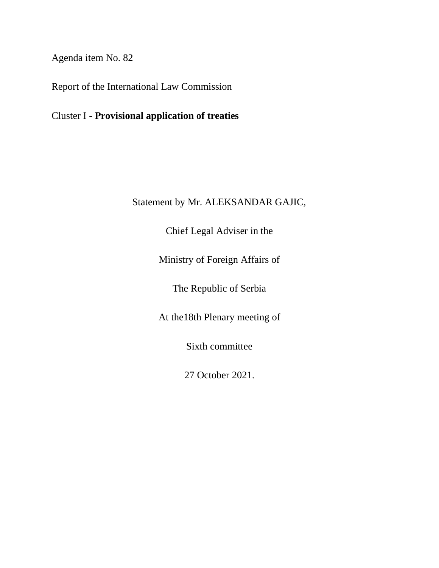Agenda item No. 82

Report of the International Law Commission

Cluster I - **Provisional application of treaties**

## Statement by Mr. ALEKSANDAR GAJIC,

Chief Legal Adviser in the

Ministry of Foreign Affairs of

The Republic of Serbia

At the18th Plenary meeting of

Sixth committee

27 October 2021.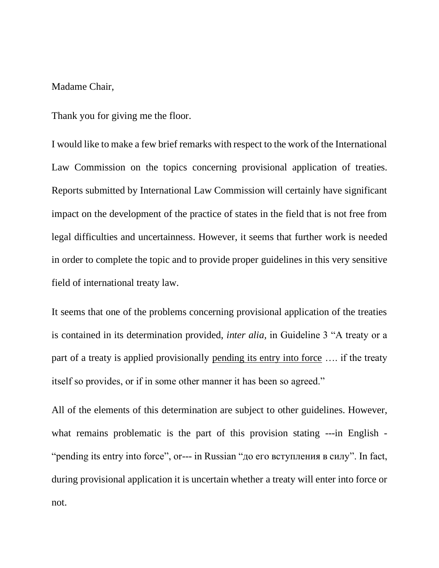## Madame Chair,

Thank you for giving me the floor.

I would like to make a few brief remarks with respect to the work of the International Law Commission on the topics concerning provisional application of treaties. Reports submitted by International Law Commission will certainly have significant impact on the development of the practice of states in the field that is not free from legal difficulties and uncertainness. However, it seems that further work is needed in order to complete the topic and to provide proper guidelines in this very sensitive field of international treaty law.

It seems that one of the problems concerning provisional application of the treaties is contained in its determination provided, *inter alia,* in Guideline 3 "A treaty or a part of a treaty is applied provisionally pending its entry into force …. if the treaty itself so provides, or if in some other manner it has been so agreed."

All of the elements of this determination are subject to other guidelines. However, what remains problematic is the part of this provision stating ---in English - "pending its entry into force", or--- in Russian "до его вступления в силу". In fact, during provisional application it is uncertain whether a treaty will enter into force or not.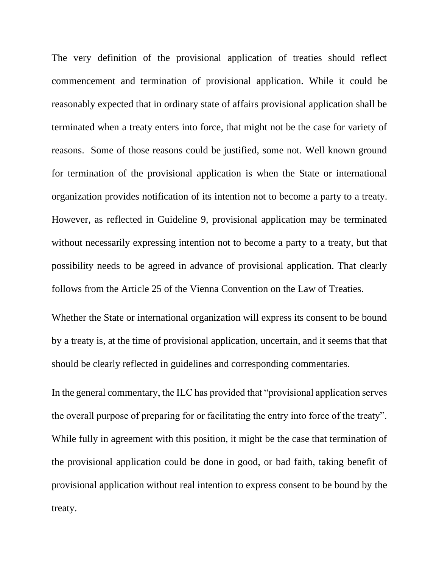The very definition of the provisional application of treaties should reflect commencement and termination of provisional application. While it could be reasonably expected that in ordinary state of affairs provisional application shall be terminated when a treaty enters into force, that might not be the case for variety of reasons. Some of those reasons could be justified, some not. Well known ground for termination of the provisional application is when the State or international organization provides notification of its intention not to become a party to a treaty. However, as reflected in Guideline 9, provisional application may be terminated without necessarily expressing intention not to become a party to a treaty, but that possibility needs to be agreed in advance of provisional application. That clearly follows from the Article 25 of the Vienna Convention on the Law of Treaties.

Whether the State or international organization will express its consent to be bound by a treaty is, at the time of provisional application, uncertain, and it seems that that should be clearly reflected in guidelines and corresponding commentaries.

In the general commentary, the ILC has provided that "provisional application serves the overall purpose of preparing for or facilitating the entry into force of the treaty". While fully in agreement with this position, it might be the case that termination of the provisional application could be done in good, or bad faith, taking benefit of provisional application without real intention to express consent to be bound by the treaty.